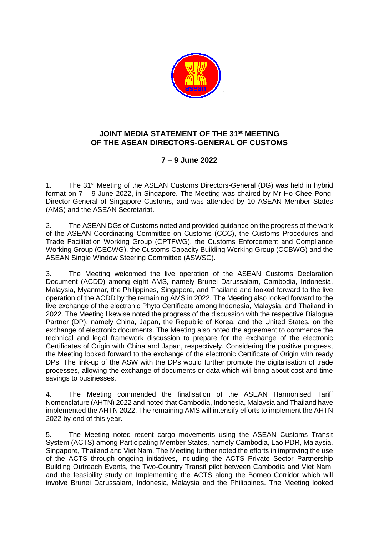

## **JOINT MEDIA STATEMENT OF THE 31st MEETING OF THE ASEAN DIRECTORS-GENERAL OF CUSTOMS**

## **7 – 9 June 2022**

1. The 31<sup>st</sup> Meeting of the ASEAN Customs Directors-General (DG) was held in hybrid format on 7 – 9 June 2022, in Singapore. The Meeting was chaired by Mr Ho Chee Pong, Director-General of Singapore Customs, and was attended by 10 ASEAN Member States (AMS) and the ASEAN Secretariat.

2. The ASEAN DGs of Customs noted and provided guidance on the progress of the work of the ASEAN Coordinating Committee on Customs (CCC), the Customs Procedures and Trade Facilitation Working Group (CPTFWG), the Customs Enforcement and Compliance Working Group (CECWG), the Customs Capacity Building Working Group (CCBWG) and the ASEAN Single Window Steering Committee (ASWSC).

3. The Meeting welcomed the live operation of the ASEAN Customs Declaration Document (ACDD) among eight AMS, namely Brunei Darussalam, Cambodia, Indonesia, Malaysia, Myanmar, the Philippines, Singapore, and Thailand and looked forward to the live operation of the ACDD by the remaining AMS in 2022. The Meeting also looked forward to the live exchange of the electronic Phyto Certificate among Indonesia, Malaysia, and Thailand in 2022. The Meeting likewise noted the progress of the discussion with the respective Dialogue Partner (DP), namely China, Japan, the Republic of Korea, and the United States, on the exchange of electronic documents. The Meeting also noted the agreement to commence the technical and legal framework discussion to prepare for the exchange of the electronic Certificates of Origin with China and Japan, respectively. Considering the positive progress, the Meeting looked forward to the exchange of the electronic Certificate of Origin with ready DPs. The link-up of the ASW with the DPs would further promote the digitalisation of trade processes, allowing the exchange of documents or data which will bring about cost and time savings to businesses.

4. The Meeting commended the finalisation of the ASEAN Harmonised Tariff Nomenclature (AHTN) 2022 and noted that Cambodia, Indonesia, Malaysia and Thailand have implemented the AHTN 2022. The remaining AMS will intensify efforts to implement the AHTN 2022 by end of this year.

5. The Meeting noted recent cargo movements using the ASEAN Customs Transit System (ACTS) among Participating Member States, namely Cambodia, Lao PDR, Malaysia, Singapore, Thailand and Viet Nam. The Meeting further noted the efforts in improving the use of the ACTS through ongoing initiatives, including the ACTS Private Sector Partnership Building Outreach Events, the Two-Country Transit pilot between Cambodia and Viet Nam, and the feasibility study on Implementing the ACTS along the Borneo Corridor which will involve Brunei Darussalam, Indonesia, Malaysia and the Philippines. The Meeting looked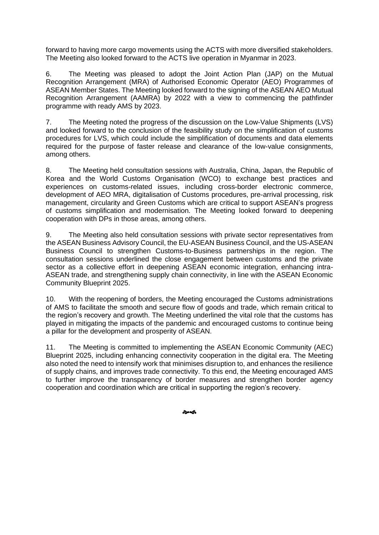forward to having more cargo movements using the ACTS with more diversified stakeholders. The Meeting also looked forward to the ACTS live operation in Myanmar in 2023.

6. The Meeting was pleased to adopt the Joint Action Plan (JAP) on the Mutual Recognition Arrangement (MRA) of Authorised Economic Operator (AEO) Programmes of ASEAN Member States. The Meeting looked forward to the signing of the ASEAN AEO Mutual Recognition Arrangement (AAMRA) by 2022 with a view to commencing the pathfinder programme with ready AMS by 2023.

7. The Meeting noted the progress of the discussion on the Low-Value Shipments (LVS) and looked forward to the conclusion of the feasibility study on the simplification of customs procedures for LVS, which could include the simplification of documents and data elements required for the purpose of faster release and clearance of the low-value consignments, among others.

8. The Meeting held consultation sessions with Australia, China, Japan, the Republic of Korea and the World Customs Organisation (WCO) to exchange best practices and experiences on customs-related issues, including cross-border electronic commerce, development of AEO MRA, digitalisation of Customs procedures, pre-arrival processing, risk management, circularity and Green Customs which are critical to support ASEAN's progress of customs simplification and modernisation. The Meeting looked forward to deepening cooperation with DPs in those areas, among others.

9. The Meeting also held consultation sessions with private sector representatives from the ASEAN Business Advisory Council, the EU-ASEAN Business Council, and the US-ASEAN Business Council to strengthen Customs-to-Business partnerships in the region. The consultation sessions underlined the close engagement between customs and the private sector as a collective effort in deepening ASEAN economic integration, enhancing intra-ASEAN trade, and strengthening supply chain connectivity, in line with the ASEAN Economic Community Blueprint 2025.

10. With the reopening of borders, the Meeting encouraged the Customs administrations of AMS to facilitate the smooth and secure flow of goods and trade, which remain critical to the region's recovery and growth. The Meeting underlined the vital role that the customs has played in mitigating the impacts of the pandemic and encouraged customs to continue being a pillar for the development and prosperity of ASEAN.

11. The Meeting is committed to implementing the ASEAN Economic Community (AEC) Blueprint 2025, including enhancing connectivity cooperation in the digital era. The Meeting also noted the need to intensify work that minimises disruption to, and enhances the resilience of supply chains, and improves trade connectivity. To this end, the Meeting encouraged AMS to further improve the transparency of border measures and strengthen border agency cooperation and coordination which are critical in supporting the region's recovery.

సౌత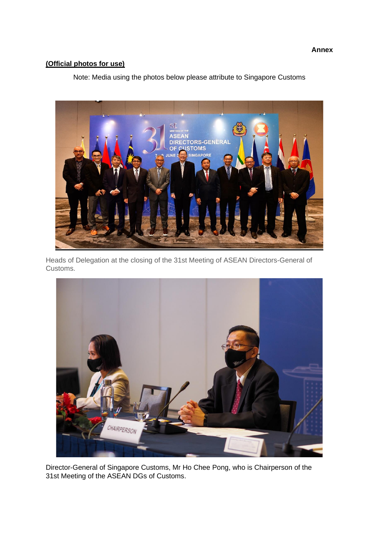## **(Official photos for use)**

Note: Media using the photos below please attribute to Singapore Customs



Heads of Delegation at the closing of the 31st Meeting of ASEAN Directors-General of Customs.



Director-General of Singapore Customs, Mr Ho Chee Pong, who is Chairperson of the 31st Meeting of the ASEAN DGs of Customs.